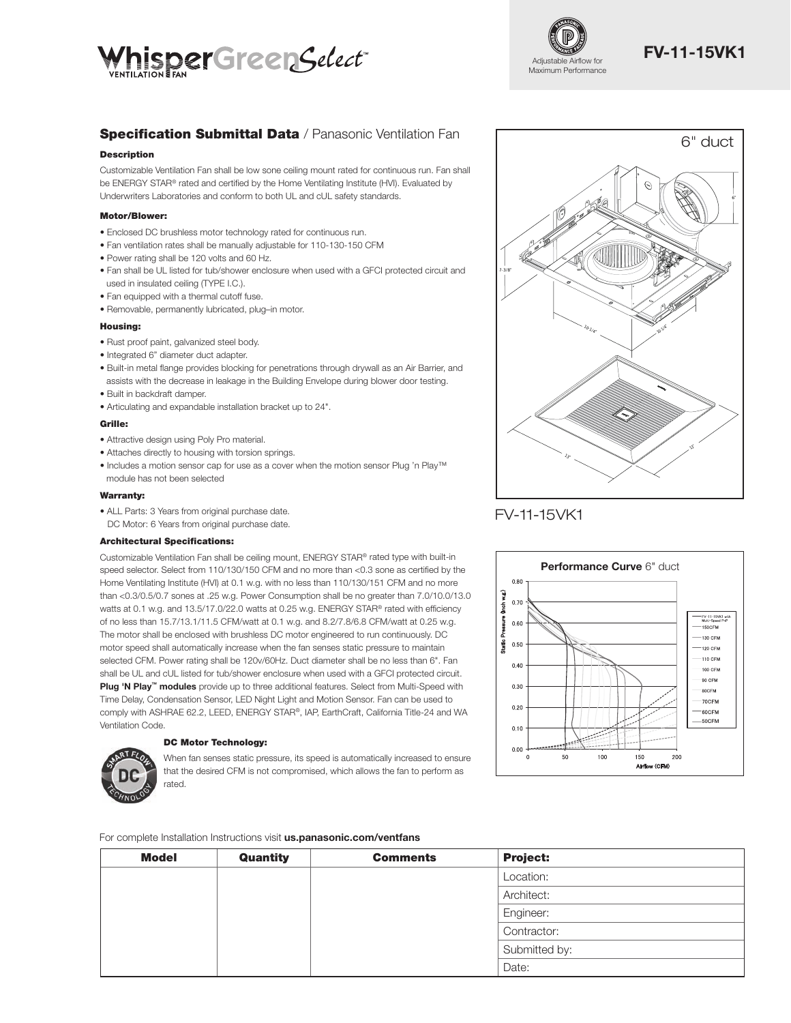



# **Specification Submittal Data** / Panasonic Ventilation Fan

## **Description**

Customizable Ventilation Fan shall be low sone ceiling mount rated for continuous run. Fan shall be ENERGY STAR® rated and certified by the Home Ventilating Institute (HVI). Evaluated by Underwriters Laboratories and conform to both UL and cUL safety standards.

## Motor/Blower:

- Enclosed DC brushless motor technology rated for continuous run.
- Fan ventilation rates shall be manually adjustable for 110-130-150 CFM
- Power rating shall be 120 volts and 60 Hz.
- Fan shall be UL listed for tub/shower enclosure when used with a GFCI protected circuit and used in insulated ceiling (TYPE I.C.).
- Fan equipped with a thermal cutoff fuse.
- Removable, permanently lubricated, plug–in motor.

#### Housing:

- Rust proof paint, galvanized steel body.
- Integrated 6" diameter duct adapter.
- Built-in metal flange provides blocking for penetrations through drywall as an Air Barrier, and assists with the decrease in leakage in the Building Envelope during blower door testing.
- Built in backdraft damper.
- Articulating and expandable installation bracket up to 24".

### Grille:

- Attractive design using Poly Pro material.
- Attaches directly to housing with torsion springs.
- Includes a motion sensor cap for use as a cover when the motion sensor Plug 'n Play™ module has not been selected

## Warranty:

• ALL Parts: 3 Years from original purchase date. DC Motor: 6 Years from original purchase date.

## Architectural Specifications:

Customizable Ventilation Fan shall be ceiling mount, ENERGY STAR® rated type with built-in speed selector. Select from 110/130/150 CFM and no more than <0.3 sone as certified by the Home Ventilating Institute (HVI) at 0.1 w.g. with no less than 110/130/151 CFM and no more than <0.3/0.5/0.7 sones at .25 w.g. Power Consumption shall be no greater than 7.0/10.0/13.0 watts at 0.1 w.g. and 13.5/17.0/22.0 watts at 0.25 w.g. ENERGY STAR® rated with efficiency of no less than 15.7/13.1/11.5 CFM/watt at 0.1 w.g. and 8.2/7.8/6.8 CFM/watt at 0.25 w.g. The motor shall be enclosed with brushless DC motor engineered to run continuously. DC motor speed shall automatically increase when the fan senses static pressure to maintain selected CFM. Power rating shall be 120v/60Hz. Duct diameter shall be no less than 6". Fan shall be UL and cUL listed for tub/shower enclosure when used with a GFCI protected circuit. Plug 'N Play™ modules provide up to three additional features. Select from Multi-Speed with Time Delay, Condensation Sensor, LED Night Light and Motion Sensor. Fan can be used to comply with ASHRAE 62.2, LEED, ENERGY STAR®, IAP, EarthCraft, California Title-24 and WA Ventilation Code.

## DC Motor Technology:

When fan senses static pressure, its speed is automatically increased to ensure that the desired CFM is not compromised, which allows the fan to perform as rated.

For complete Installation Instructions visit us.panasonic.com/ventfans

| <b>Model</b> | Quantity | <b>Comments</b> | <b>Project:</b> |
|--------------|----------|-----------------|-----------------|
|              |          |                 | Location:       |
|              |          |                 | Architect:      |
|              |          |                 | Engineer:       |
|              |          |                 | Contractor:     |
|              |          |                 | Submitted by:   |
|              |          |                 | Date:           |